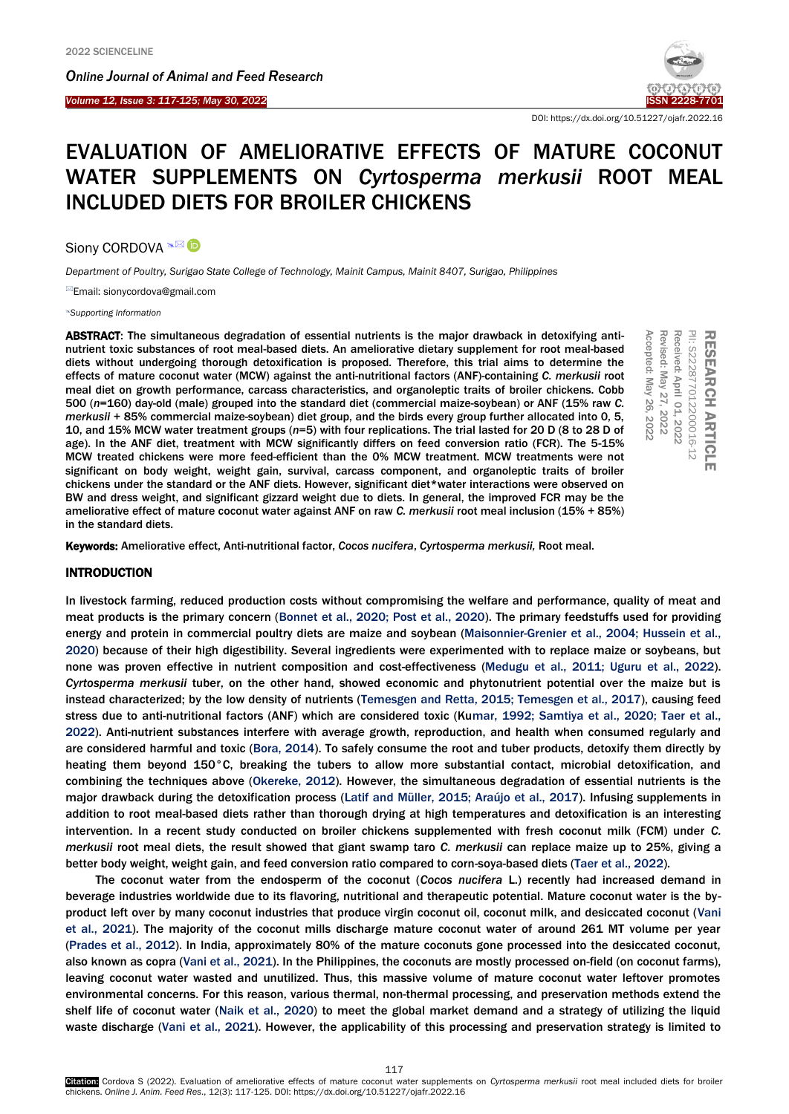*Online Journal of A[nimal and](http://www.ojafr.ir/main/) Feed Research*



DOI: https://dx.doi.org/10.51227/ojafr.2022.16

# EVALUATION OF AMELIORATIVE EFFECTS OF MATURE COCONUT WATER SUPPLEMENTS ON *Cyrtosperma merkusii* ROOT MEAL INCLUDED DIETS FOR BROILER CHICKENS

Siony CORDOVA <sup>a⊠</sup> D

*Department of Poultry, Surigao State College of Technology, Mainit Campus, Mainit 8407, Surigao, Philippines*

Email: sionycordova@gmail.com

*[Supporting Information](#page-7-0)*

ABSTRACT: The simultaneous degradation of essential nutrients is the major drawback in detoxifying antinutrient toxic substances of root meal-based diets. An ameliorative dietary supplement for root meal-based diets without undergoing thorough detoxification is proposed. Therefore, this trial aims to determine the effects of mature coconut water (MCW) against the anti-nutritional factors (ANF)-containing *C. merkusii* root meal diet on growth performance, carcass characteristics, and organoleptic traits of broiler chickens. Cobb 500 (*n*=160) day-old (male) grouped into the standard diet (commercial maize-soybean) or ANF (15% raw *C. merkusii* + 85% commercial maize-soybean) diet group, and the birds every group further allocated into 0, 5, 10, and 15% MCW water treatment groups (*n*=5) with four replications. The trial lasted for 20 D (8 to 28 D of age). In the ANF diet, treatment with MCW significantly differs on feed conversion ratio (FCR). The 5-15% MCW treated chickens were more feed-efficient than the 0% MCW treatment. MCW treatments were not significant on body weight, weight gain, survival, carcass component, and organoleptic traits of broiler chickens under the standard or the ANF diets. However, significant diet\*water interactions were observed on BW and dress weight, and significant gizzard weight due to diets. In general, the improved FCR may be the ameliorative effect of mature coconut water against ANF on raw *C. merkusii* root meal inclusion (15% + 85%) in the standard diets. **ABSTRACT:** The simultaneous degradation of essential nutrients is the major drawback in detoxifying anti-<br>nutrient toxic substances of root meal-based diets. An ameliorative dietary supplement for root meal-based<br>diets w

# INTRODUCTION

In livestock farming, reduced production costs without compromising the welfare and performance, quality of meat and meat products is the primary concern [\(Bonnet et al., 2020; Post et al., 2020\).](#page-8-0) The primary feedstuffs used for providing energy and protein in commercial poultry diets are maize and soybean [\(Maisonnier-Grenier et al., 2004; Hussein et al.,](#page-8-0)  2020) because of their high digestibility. Several ingredients were experimented with to replace maize or soybeans, but none was proven effective in nutrient composition and cost-effectiveness [\(Medugu et al., 2011; Uguru et al., 2022\).](#page-8-0)  *Cyrtosperma merkusii* tuber, on the other hand, showed economic and phytonutrient potential over the maize but is instead characterized; by the low density of nutrients [\(Temesgen and Retta, 2015; Temesgen et al., 2017\),](#page-8-0) causing feed stress due to anti-nutritional factors (ANF) which are considered toxic [\(Kumar, 1992; Samtiya et al., 2020; Taer et al.,](#page-8-0)  2022). Anti-nutrient substances interfere with average growth, reproduction, and health when consumed regularly and are considered harmful and toxic [\(Bora, 2014\).](#page-8-0) To safely consume the root and tuber products, detoxify them directly by heating them beyond 150°C, breaking the tubers to allow more substantial contact, microbial detoxification, and combining the techniques above ([Okereke, 2012](#page-8-0)). However, the simultaneous degradation of essential nutrients is the major drawback during the detoxification process [\(Latif and Müller, 2015; Araújo et al., 2017\).](#page-8-0) Infusing supplements in addition to root meal-based diets rather than thorough drying at high temperatures and detoxification is an interesting intervention. In a recent study conducted on broiler chickens supplemented with fresh coconut milk (FCM) under *C. merkusii* root meal diets, the result showed that giant swamp taro *C. merkusii* can replace maize up to 25%, giving a better body weight, weight gain, and feed conversion ratio compared to corn-soya-based diets [\(Taer et al., 2022\).](#page-8-0)

The coconut water from the endosperm of the coconut (*Cocos nucifera* L.) recently had increased demand in beverage industries worldwide due to its flavoring, nutritional and therapeutic potential. Mature coconut water is the byproduct left over by many coconut industries that produce virgin coconut oil, coconut milk, and desiccated coconut (Vani [et al., 2021\).](#page-8-0) The majority of the coconut mills discharge mature coconut water of around 261 MT volume per year [\(Prades et al., 2012\). I](#page-8-0)n India, approximately 80% of the mature coconuts gone processed into the desiccated coconut, also known as copra ([Vani et al.,](#page-8-0) 2021). In the Philippines, the coconuts are mostly processed on-field (on coconut farms), leaving coconut water wasted and unutilized. Thus, this massive volume of mature coconut water leftover promotes environmental concerns. For this reason, various thermal, non-thermal processing, and preservation methods extend the shelf life of coconut water [\(Naik et al., 2020\)](#page-8-0) to meet the global market demand and a strategy of utilizing the liquid waste discharge [\(Vani et al., 2021\).](#page-8-0) However, the applicability of this processing and preservation strategy is limited to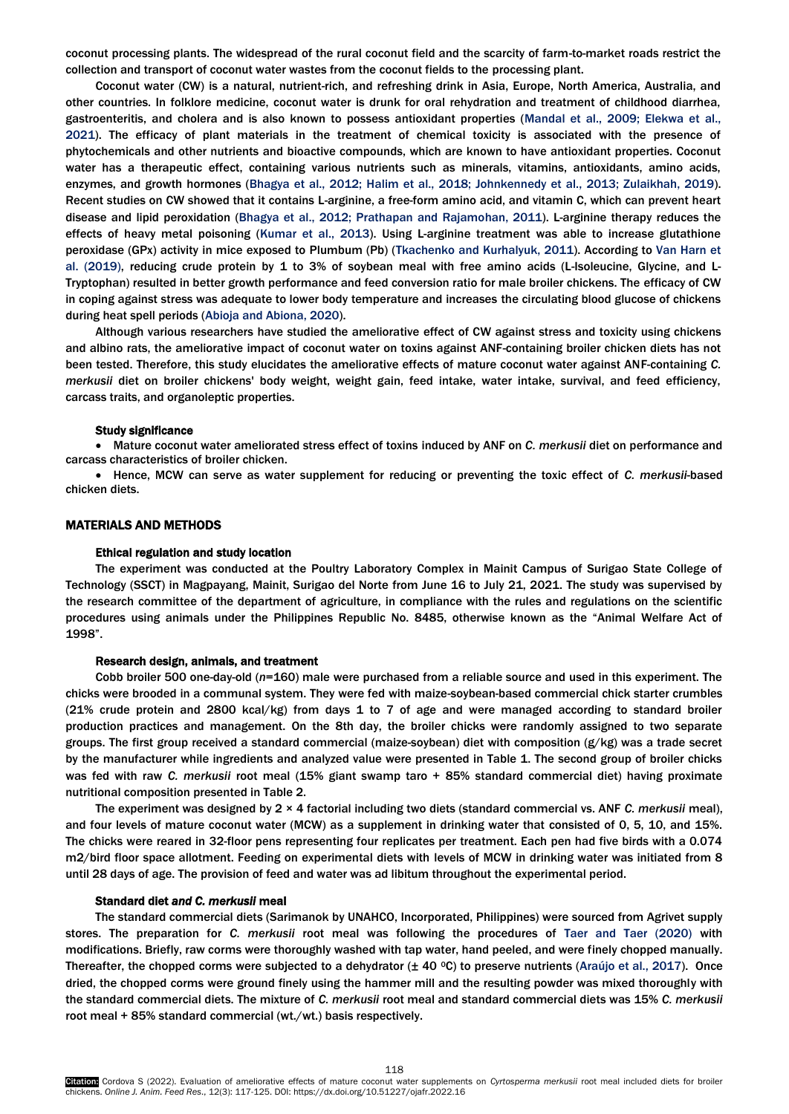coconut processing plants. The widespread of the rural coconut field and the scarcity of farm-to-market roads restrict the collection and transport of coconut water wastes from the coconut fields to the processing plant.

Coconut water (CW) is a natural, nutrient-rich, and refreshing drink in Asia, Europe, North America, Australia, and other countries. In folklore medicine, coconut water is drunk for oral rehydration and treatment of childhood diarrhea, gastroenteritis, and cholera and is also known to possess antioxidant properties [\(Mandal et al., 2009; Elekwa et al.,](#page-8-0)  2021). The efficacy of plant materials in the treatment of chemical toxicity is associated with the presence of phytochemicals and other nutrients and bioactive compounds, which are known to have antioxidant properties. Coconut water has a therapeutic effect, containing various nutrients such as minerals, vitamins, antioxidants, amino acids, enzymes, and growth hormones [\(Bhagya et al., 2012; Halim et al., 2018; Johnkennedy et al., 2013; Zulaikhah, 2019\).](#page-8-0) Recent studies on CW showed that it contains L-arginine, a free-form amino acid, and vitamin C, which can prevent heart disease and lipid peroxidation [\(Bhagya et al., 2012; Prathapan and Rajamohan, 2011\).](#page-8-0) L-arginine therapy reduces the effects of heavy metal poisoning [\(Kumar et al., 2013\).](#page-8-0) Using L-arginine treatment was able to increase glutathione peroxidase (GPx) activity in mice exposed to Plumbum (Pb) [\(Tkachenko and Kurhalyuk, 2011\)](#page-8-0). According to [Van Harn et](#page-8-0)  [al. \(2019\), re](#page-8-0)ducing crude protein by 1 to 3% of soybean meal with free amino acids (L-Isoleucine, Glycine, and L-Tryptophan) resulted in better growth performance and feed conversion ratio for male broiler chickens. The efficacy of CW in coping against stress was adequate to lower body temperature and increases the circulating blood glucose of chickens during heat spell periods [\(Abioja and Abiona, 2020\).](#page-8-0)

Although various researchers have studied the ameliorative effect of CW against stress and toxicity using chickens and albino rats, the ameliorative impact of coconut water on toxins against ANF-containing broiler chicken diets has not been tested. Therefore, this study elucidates the ameliorative effects of mature coconut water against ANF-containing *C. merkusii* diet on broiler chickens' body weight, weight gain, feed intake, water intake, survival, and feed efficiency, carcass traits, and organoleptic properties.

#### Study significance

 Mature coconut water ameliorated stress effect of toxins induced by ANF on *C. merkusii* diet on performance and carcass characteristics of broiler chicken.

 Hence, MCW can serve as water supplement for reducing or preventing the toxic effect of *C. merkusii*-based chicken diets.

# MATERIALS AND METHODS

#### Ethical regulation and study location

The experiment was conducted at the Poultry Laboratory Complex in Mainit Campus of Surigao State College of Technology (SSCT) in Magpayang, Mainit, Surigao del Norte from June 16 to July 21, 2021. The study was supervised by the research committee of the department of agriculture, in compliance with the rules and regulations on the scientific procedures using animals under the Philippines Republic No. 8485, otherwise known as the "Animal Welfare Act of 1998".

# Research design, animals, and treatment

Cobb broiler 500 one-day-old (*n*=160) male were purchased from a reliable source and used in this experiment. The chicks were brooded in a communal system. They were fed with maize-soybean-based commercial chick starter crumbles (21% crude protein and 2800 kcal/kg) from days 1 to 7 of age and were managed according to standard broiler production practices and management. On the 8th day, the broiler chicks were randomly assigned to two separate groups. The first group received a standard commercial (maize-soybean) diet with composition (g/kg) was a trade secret by the manufacturer while ingredients and analyzed value were presented in Table 1. The second group of broiler chicks was fed with raw *C. merkusii* root meal (15% giant swamp taro + 85% standard commercial diet) having proximate nutritional composition presented in Table 2.

The experiment was designed by 2 × 4 factorial including two diets (standard commercial vs. ANF *C. merkusii* meal), and four levels of mature coconut water (MCW) as a supplement in drinking water that consisted of 0, 5, 10, and 15%. The chicks were reared in 32-floor pens representing four replicates per treatment. Each pen had five birds with a 0.074 m2/bird floor space allotment. Feeding on experimental diets with levels of MCW in drinking water was initiated from 8 until 28 days of age. The provision of feed and water was ad libitum throughout the experimental period.

#### Standard diet *and C. merkusii* meal

The standard commercial diets (Sarimanok by UNAHCO, Incorporated, Philippines) were sourced from Agrivet supply stores. The preparation for *C. merkusii* root meal was following the procedures of [Taer and Taer \(2020\)](#page-8-0) with modifications. Briefly, raw corms were thoroughly washed with tap water, hand peeled, and were finely chopped manually. Thereafter, the chopped corms were subjected to a dehydrator  $(\pm 40 \degree C)$  to preserve nutrients [\(Araújo et al., 2017\).](#page-8-0) Once dried, the chopped corms were ground finely using the hammer mill and the resulting powder was mixed thoroughly with the standard commercial diets. The mixture of *C. merkusii* root meal and standard commercial diets was 15% *C. merkusii* root meal + 85% standard commercial (wt./wt.) basis respectively.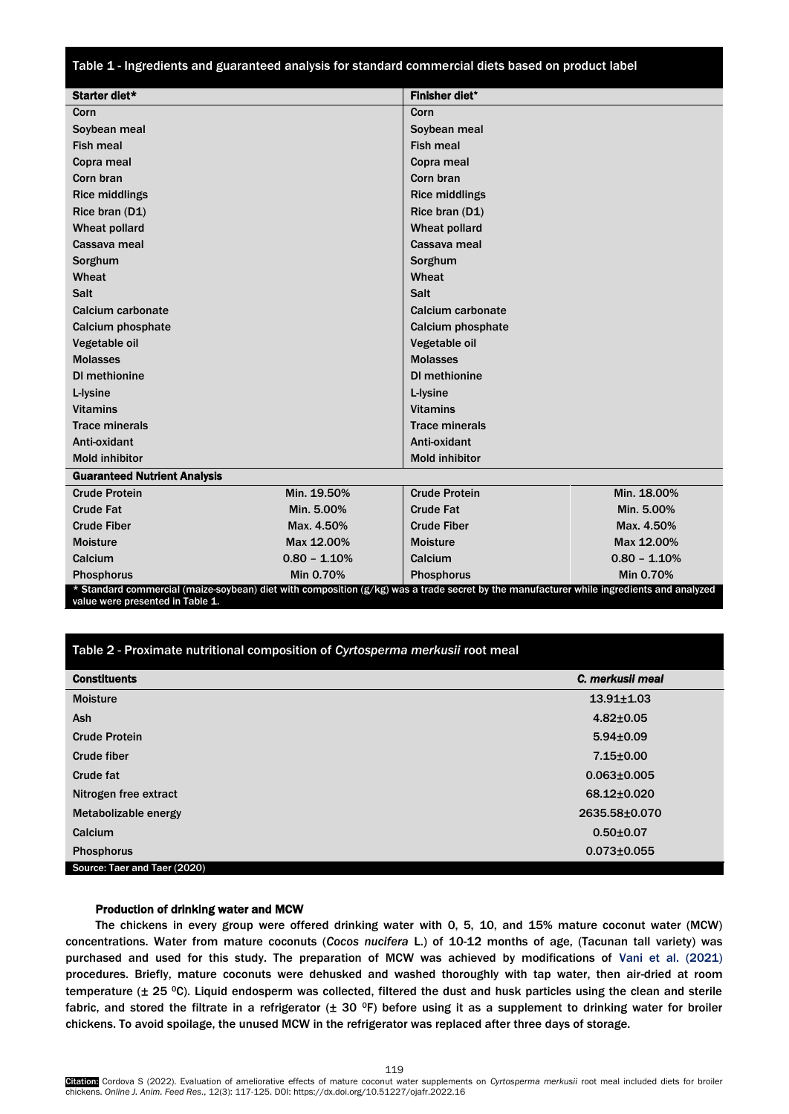Table 1 - Ingredients and guaranteed analysis for standard commercial diets based on product label

| Starter diet*                       |                | <b>Finisher diet*</b>                                                                                                                    |                |  |  |  |
|-------------------------------------|----------------|------------------------------------------------------------------------------------------------------------------------------------------|----------------|--|--|--|
| Corn                                |                | Corn                                                                                                                                     |                |  |  |  |
| Soybean meal                        |                | Soybean meal                                                                                                                             |                |  |  |  |
| <b>Fish meal</b>                    |                | <b>Fish meal</b>                                                                                                                         |                |  |  |  |
| Copra meal                          |                | Copra meal                                                                                                                               |                |  |  |  |
| Corn bran                           |                | Corn bran                                                                                                                                |                |  |  |  |
| <b>Rice middlings</b>               |                | <b>Rice middlings</b>                                                                                                                    |                |  |  |  |
| Rice bran (D1)                      |                | Rice bran (D1)                                                                                                                           |                |  |  |  |
| Wheat pollard                       |                | Wheat pollard                                                                                                                            |                |  |  |  |
| Cassava meal                        |                | Cassava meal                                                                                                                             |                |  |  |  |
| Sorghum                             |                | Sorghum                                                                                                                                  |                |  |  |  |
| Wheat                               |                | Wheat                                                                                                                                    |                |  |  |  |
| Salt                                |                | Salt                                                                                                                                     |                |  |  |  |
| Calcium carbonate                   |                | Calcium carbonate                                                                                                                        |                |  |  |  |
| Calcium phosphate                   |                | Calcium phosphate                                                                                                                        |                |  |  |  |
| Vegetable oil                       |                | Vegetable oil                                                                                                                            |                |  |  |  |
| <b>Molasses</b>                     |                | <b>Molasses</b>                                                                                                                          |                |  |  |  |
| <b>DI</b> methionine                |                | DI methionine                                                                                                                            |                |  |  |  |
| L-lysine                            |                | L-lysine                                                                                                                                 |                |  |  |  |
| <b>Vitamins</b>                     |                | <b>Vitamins</b>                                                                                                                          |                |  |  |  |
| <b>Trace minerals</b>               |                | <b>Trace minerals</b>                                                                                                                    |                |  |  |  |
| Anti-oxidant                        |                | Anti-oxidant                                                                                                                             |                |  |  |  |
| <b>Mold inhibitor</b>               |                | <b>Mold inhibitor</b>                                                                                                                    |                |  |  |  |
| <b>Guaranteed Nutrient Analysis</b> |                |                                                                                                                                          |                |  |  |  |
| <b>Crude Protein</b>                | Min. 19.50%    | <b>Crude Protein</b>                                                                                                                     | Min. 18.00%    |  |  |  |
| <b>Crude Fat</b>                    | Min. 5.00%     | <b>Crude Fat</b>                                                                                                                         | Min. 5.00%     |  |  |  |
| <b>Crude Fiber</b>                  | Max. 4.50%     | <b>Crude Fiber</b>                                                                                                                       | Max. 4.50%     |  |  |  |
| <b>Moisture</b>                     | Max 12.00%     | <b>Moisture</b>                                                                                                                          | Max 12.00%     |  |  |  |
| Calcium                             | $0.80 - 1.10%$ | Calcium                                                                                                                                  | $0.80 - 1.10%$ |  |  |  |
| <b>Phosphorus</b>                   | Min 0.70%      | <b>Phosphorus</b>                                                                                                                        | Min 0.70%      |  |  |  |
|                                     |                | * Standard commercial (maize-soybean) diet with composition (g/kg) was a trade secret by the manufacturer while ingredients and analyzed |                |  |  |  |

value were presented in Table 1.

# Table 2 - Proximate nutritional composition of *Cyrtosperma merkusii* root meal

| <b>Constituents</b>          | C. merkusil meal  |
|------------------------------|-------------------|
| <b>Moisture</b>              | $13.91 \pm 1.03$  |
| <b>Ash</b>                   | $4.82 \pm 0.05$   |
| <b>Crude Protein</b>         | $5.94 \pm 0.09$   |
| Crude fiber                  | $7.15 \pm 0.00$   |
| Crude fat                    | $0.063 \pm 0.005$ |
| Nitrogen free extract        | 68.12±0.020       |
| Metabolizable energy         | 2635.58±0.070     |
| Calcium                      | $0.50 + 0.07$     |
| <b>Phosphorus</b>            | $0.073 \pm 0.055$ |
| Source: Taer and Taer (2020) |                   |

# Production of drinking water and MCW

The chickens in every group were offered drinking water with 0, 5, 10, and 15% mature coconut water (MCW) concentrations. Water from mature coconuts (*Cocos nucifera* L.) of 10-12 months of age, (Tacunan tall variety) was purchased and used for this study. The preparation of MCW was achieved by modifications of Vani et al. (2021) procedures. Briefly, mature coconuts were dehusked and washed thoroughly with tap water, then air-dried at room temperature (± 25 <sup>0</sup>C). Liquid endosperm was collected, filtered the dust and husk particles using the clean and sterile fabric, and stored the filtrate in a refrigerator  $(\pm 30$  °F) before using it as a supplement to drinking water for broiler chickens. To avoid spoilage, the unused MCW in the refrigerator was replaced after three days of storage.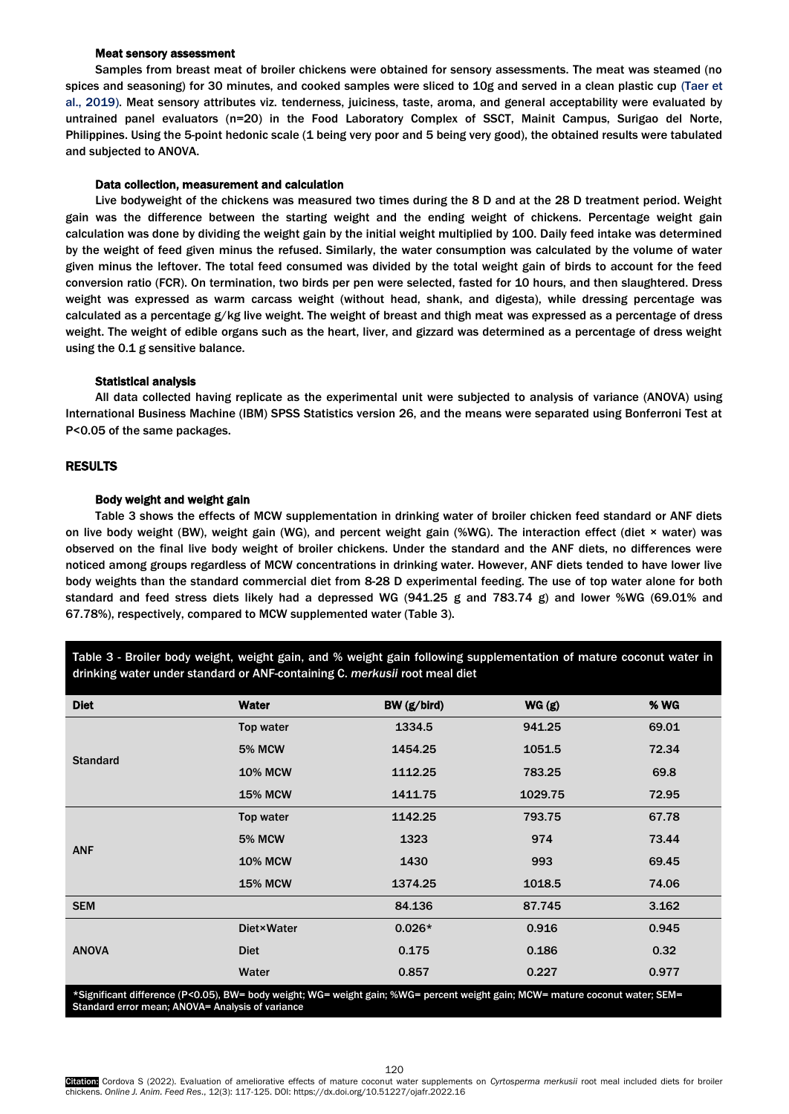## Meat sensory assessment

Samples from breast meat of broiler chickens were obtained for sensory assessments. The meat was steamed (no spices and seasoning) for 30 minutes, and cooked samples were sliced to 10g and served in a clean plastic [cup \(Taer et](#page-8-0)  [al., 2019\). M](#page-8-0)eat sensory attributes viz. tenderness, juiciness, taste, aroma, and general acceptability were evaluated by untrained panel evaluators (n=20) in the Food Laboratory Complex of SSCT, Mainit Campus, Surigao del Norte, Philippines. Using the 5-point hedonic scale (1 being very poor and 5 being very good), the obtained results were tabulated and subjected to ANOVA.

#### Data collection, measurement and calculation

Live bodyweight of the chickens was measured two times during the 8 D and at the 28 D treatment period. Weight gain was the difference between the starting weight and the ending weight of chickens. Percentage weight gain calculation was done by dividing the weight gain by the initial weight multiplied by 100. Daily feed intake was determined by the weight of feed given minus the refused. Similarly, the water consumption was calculated by the volume of water given minus the leftover. The total feed consumed was divided by the total weight gain of birds to account for the feed conversion ratio (FCR). On termination, two birds per pen were selected, fasted for 10 hours, and then slaughtered. Dress weight was expressed as warm carcass weight (without head, shank, and digesta), while dressing percentage was calculated as a percentage g/kg live weight. The weight of breast and thigh meat was expressed as a percentage of dress weight. The weight of edible organs such as the heart, liver, and gizzard was determined as a percentage of dress weight using the 0.1 g sensitive balance.

#### Statistical analysis

All data collected having replicate as the experimental unit were subjected to analysis of variance (ANOVA) using International Business Machine (IBM) SPSS Statistics version 26, and the means were separated using Bonferroni Test at P<0.05 of the same packages.

# RESULTS

## Body weight and weight gain

Table 3 shows the effects of MCW supplementation in drinking water of broiler chicken feed standard or ANF diets on live body weight (BW), weight gain (WG), and percent weight gain (%WG). The interaction effect (diet × water) was observed on the final live body weight of broiler chickens. Under the standard and the ANF diets, no differences were noticed among groups regardless of MCW concentrations in drinking water. However, ANF diets tended to have lower live body weights than the standard commercial diet from 8-28 D experimental feeding. The use of top water alone for both standard and feed stress diets likely had a depressed WG (941.25 g and 783.74 g) and lower %WG (69.01% and 67.78%), respectively, compared to MCW supplemented water (Table 3).

Table 3 - Broiler body weight, weight gain, and % weight gain following supplementation of mature coconut water in drinking water under standard or ANF-containing C. *merkusii* root meal diet

| <b>Diet</b>     | <b>Water</b>       | BW (g/bird) | WG(g)   | <b>% WG</b> |
|-----------------|--------------------|-------------|---------|-------------|
|                 | Top water          | 1334.5      | 941.25  | 69.01       |
| <b>Standard</b> | <b>5% MCW</b>      | 1454.25     | 1051.5  | 72.34       |
|                 | <b>10% MCW</b>     | 1112.25     | 783.25  | 69.8        |
|                 | <b>15% MCW</b>     | 1411.75     | 1029.75 | 72.95       |
| <b>ANF</b>      | Top water          | 1142.25     | 793.75  | 67.78       |
|                 | <b>5% MCW</b>      | 1323        | 974     | 73.44       |
|                 | <b>10% MCW</b>     | 1430        | 993     | 69.45       |
|                 | <b>15% MCW</b>     | 1374.25     | 1018.5  | 74.06       |
| <b>SEM</b>      |                    | 84.136      | 87.745  | 3.162       |
| <b>ANOVA</b>    | <b>Diet</b> ×Water | $0.026*$    | 0.916   | 0.945       |
|                 | <b>Diet</b>        | 0.175       | 0.186   | 0.32        |
|                 | Water              | 0.857       | 0.227   | 0.977       |

\*Significant difference (P*<*0.05), BW= body weight; WG= weight gain; %WG= percent weight gain; MCW= mature coconut water; SEM= Standard error mean; ANOVA= Analysis of variance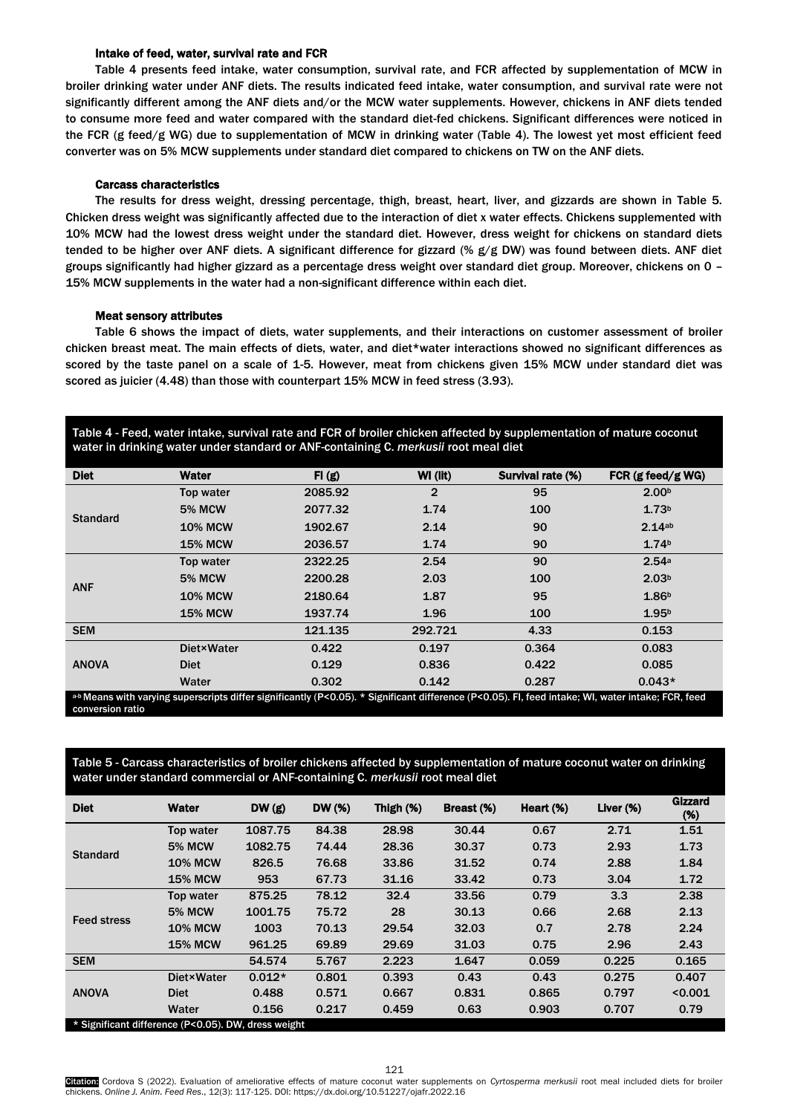# Intake of feed, water, survival rate and FCR

Table 4 presents feed intake, water consumption, survival rate, and FCR affected by supplementation of MCW in broiler drinking water under ANF diets. The results indicated feed intake, water consumption, and survival rate were not significantly different among the ANF diets and/or the MCW water supplements. However, chickens in ANF diets tended to consume more feed and water compared with the standard diet-fed chickens. Significant differences were noticed in the FCR (g feed/g WG) due to supplementation of MCW in drinking water (Table 4). The lowest yet most efficient feed converter was on 5% MCW supplements under standard diet compared to chickens on TW on the ANF diets.

#### Carcass characteristics

The results for dress weight, dressing percentage, thigh, breast, heart, liver, and gizzards are shown in Table 5. Chicken dress weight was significantly affected due to the interaction of diet x water effects. Chickens supplemented with 10% MCW had the lowest dress weight under the standard diet. However, dress weight for chickens on standard diets tended to be higher over ANF diets. A significant difference for gizzard (% g/g DW) was found between diets. ANF diet groups significantly had higher gizzard as a percentage dress weight over standard diet group. Moreover, chickens on 0 – 15% MCW supplements in the water had a non-significant difference within each diet.

### Meat sensory attributes

Table 6 shows the impact of diets, water supplements, and their interactions on customer assessment of broiler chicken breast meat. The main effects of diets, water, and diet\*water interactions showed no significant differences as scored by the taste panel on a scale of 1-5. However, meat from chickens given 15% MCW under standard diet was scored as juicier (4.48) than those with counterpart 15% MCW in feed stress (3.93).

Table 4 - Feed, water intake, survival rate and FCR of broiler chicken affected by supplementation of mature coconut water in drinking water under standard or ANF-containing C. *merkusii* root meal diet

| <b>Diet</b>                                                                                                                                        | Water              | FI(g)   | WI (lit)       | Survival rate (%) | FCR $(g$ feed/g WG) |  |  |
|----------------------------------------------------------------------------------------------------------------------------------------------------|--------------------|---------|----------------|-------------------|---------------------|--|--|
|                                                                                                                                                    | Top water          | 2085.92 | $\overline{2}$ | 95                | 2.00 <sup>b</sup>   |  |  |
|                                                                                                                                                    | <b>5% MCW</b>      | 2077.32 | 1.74           | 100               | 1.73 <sup>b</sup>   |  |  |
| <b>Standard</b>                                                                                                                                    | <b>10% MCW</b>     | 1902.67 | 2.14           | 90                | 2.14ab              |  |  |
|                                                                                                                                                    | <b>15% MCW</b>     | 2036.57 | 1.74           | 90                | 1.74 <sup>b</sup>   |  |  |
| <b>ANF</b>                                                                                                                                         | Top water          | 2322.25 | 2.54           | 90                | 2.54a               |  |  |
|                                                                                                                                                    | <b>5% MCW</b>      | 2200.28 | 2.03           | 100               | 2.03 <sup>b</sup>   |  |  |
|                                                                                                                                                    | <b>10% MCW</b>     | 2180.64 | 1.87           | 95                | 1.86 <sup>b</sup>   |  |  |
|                                                                                                                                                    | <b>15% MCW</b>     | 1937.74 | 1.96           | 100               | 1.95 <sup>b</sup>   |  |  |
| <b>SEM</b>                                                                                                                                         |                    | 121.135 | 292.721        | 4.33              | 0.153               |  |  |
|                                                                                                                                                    | <b>Diet</b> ×Water | 0.422   | 0.197          | 0.364             | 0.083               |  |  |
| <b>ANOVA</b>                                                                                                                                       | <b>Diet</b>        | 0.129   | 0.836          | 0.422             | 0.085               |  |  |
|                                                                                                                                                    | Water              | 0.302   | 0.142          | 0.287             | $0.043*$            |  |  |
| a-b Means with varying superscripts differ significantly (P<0.05). * Significant difference (P<0.05). Fl, feed intake; WI, water intake; FCR, feed |                    |         |                |                   |                     |  |  |

conversion ratio

Table 5 - Carcass characteristics of broiler chickens affected by supplementation of mature coconut water on drinking water under standard commercial or ANF-containing C. *merkusii* root meal diet

| 84.38<br>28.98<br>2.71<br>1087.75<br>30.44<br>0.67<br>1.51<br>Top water<br>1082.75<br>0.73<br><b>5% MCW</b><br>74.44<br>28.36<br>30.37<br>2.93<br>1.73<br><b>Standard</b><br>33.86<br><b>10% MCW</b><br>826.5<br>76.68<br>31.52<br>0.74<br>2.88<br>1.84<br>953<br>67.73<br>33.42<br>0.73<br><b>15% MCW</b><br>31.16<br>3.04<br>1.72<br>32.4<br>0.79<br>2.38<br>875.25<br>78.12<br>33.56<br>3.3<br>Top water<br>28<br>0.66<br><b>5% MCW</b><br>1001.75<br>75.72<br>30.13<br>2.68<br>2.13<br><b>Feed stress</b><br><b>10% MCW</b><br>1003<br>70.13<br>29.54<br>32.03<br>0.7<br>2.78<br>2.24<br><b>15% MCW</b><br>961.25<br>69.89<br>29.69<br>31.03<br>0.75<br>2.43<br>2.96<br>0.165<br><b>SEM</b><br>2.223<br>0.225<br>54.574<br>5.767<br>1.647<br>0.059<br>$0.012*$<br>0.801<br>0.393<br><b>Diet×Water</b><br>0.43<br>0.43<br>0.275<br>0.407 | <b>Diet</b>  | <b>Water</b> | DW(g) | <b>DW</b> (%) | Thigh $(\%)$ | Breast (%) | Heart (%) | Liver $(\%)$ | <b>Gizzard</b><br>(%) |
|---------------------------------------------------------------------------------------------------------------------------------------------------------------------------------------------------------------------------------------------------------------------------------------------------------------------------------------------------------------------------------------------------------------------------------------------------------------------------------------------------------------------------------------------------------------------------------------------------------------------------------------------------------------------------------------------------------------------------------------------------------------------------------------------------------------------------------------------|--------------|--------------|-------|---------------|--------------|------------|-----------|--------------|-----------------------|
|                                                                                                                                                                                                                                                                                                                                                                                                                                                                                                                                                                                                                                                                                                                                                                                                                                             |              |              |       |               |              |            |           |              |                       |
|                                                                                                                                                                                                                                                                                                                                                                                                                                                                                                                                                                                                                                                                                                                                                                                                                                             |              |              |       |               |              |            |           |              |                       |
|                                                                                                                                                                                                                                                                                                                                                                                                                                                                                                                                                                                                                                                                                                                                                                                                                                             |              |              |       |               |              |            |           |              |                       |
|                                                                                                                                                                                                                                                                                                                                                                                                                                                                                                                                                                                                                                                                                                                                                                                                                                             |              |              |       |               |              |            |           |              |                       |
|                                                                                                                                                                                                                                                                                                                                                                                                                                                                                                                                                                                                                                                                                                                                                                                                                                             |              |              |       |               |              |            |           |              |                       |
|                                                                                                                                                                                                                                                                                                                                                                                                                                                                                                                                                                                                                                                                                                                                                                                                                                             |              |              |       |               |              |            |           |              |                       |
|                                                                                                                                                                                                                                                                                                                                                                                                                                                                                                                                                                                                                                                                                                                                                                                                                                             |              |              |       |               |              |            |           |              |                       |
|                                                                                                                                                                                                                                                                                                                                                                                                                                                                                                                                                                                                                                                                                                                                                                                                                                             |              |              |       |               |              |            |           |              |                       |
|                                                                                                                                                                                                                                                                                                                                                                                                                                                                                                                                                                                                                                                                                                                                                                                                                                             |              |              |       |               |              |            |           |              |                       |
|                                                                                                                                                                                                                                                                                                                                                                                                                                                                                                                                                                                                                                                                                                                                                                                                                                             | <b>ANOVA</b> |              |       |               |              |            |           |              |                       |
| 0.831<br>0.488<br>0.571<br>0.667<br>0.865<br>0.797<br>< 0.001<br><b>Diet</b>                                                                                                                                                                                                                                                                                                                                                                                                                                                                                                                                                                                                                                                                                                                                                                |              |              |       |               |              |            |           |              |                       |
| Water<br>0.156<br>0.217<br>0.459<br>0.63<br>0.903<br>0.79<br>0.707                                                                                                                                                                                                                                                                                                                                                                                                                                                                                                                                                                                                                                                                                                                                                                          |              |              |       |               |              |            |           |              |                       |

5ignificant difference (P<0.05). DW, dress weight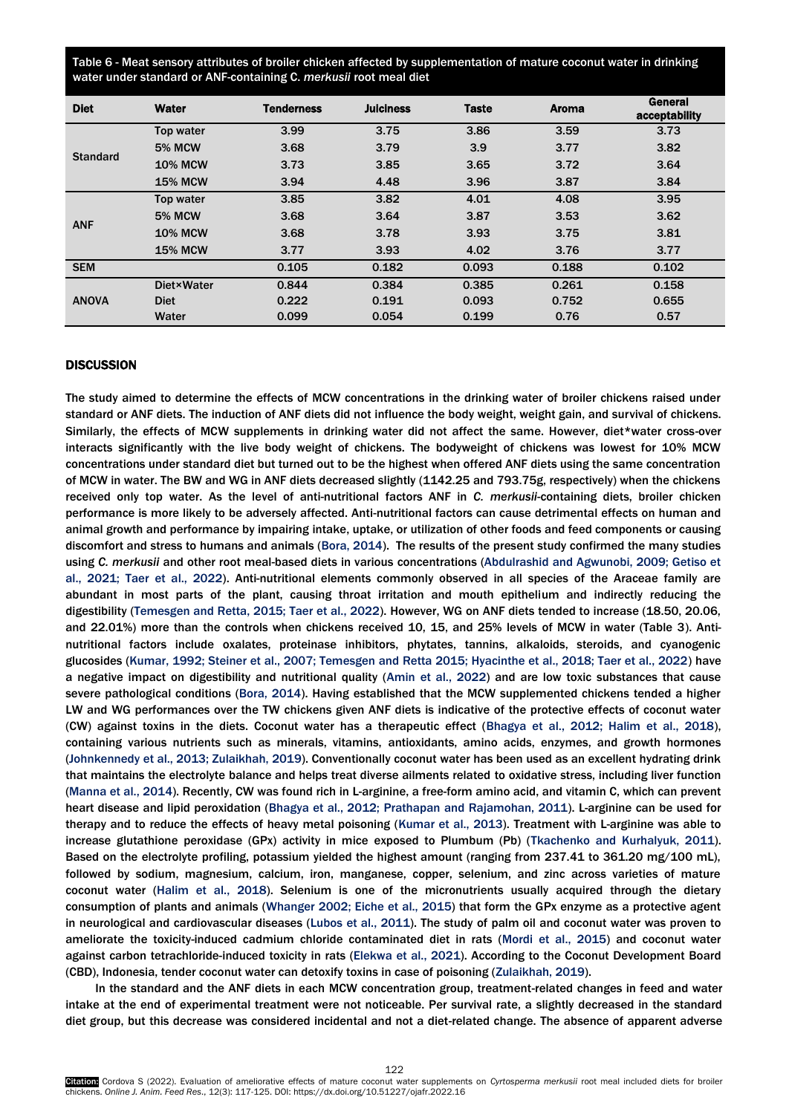Table 6 - Meat sensory attributes of broiler chicken affected by supplementation of mature coconut water in drinking water under standard or ANF-containing C. *merkusii* root meal diet

| <b>Diet</b>     | Water             | <b>Tenderness</b> | <b>Juiciness</b> | <b>Taste</b> | <b>Aroma</b> | General<br>acceptability |
|-----------------|-------------------|-------------------|------------------|--------------|--------------|--------------------------|
|                 | Top water         | 3.99              | 3.75             | 3.86         | 3.59         | 3.73                     |
|                 | <b>5% MCW</b>     | 3.68              | 3.79             | 3.9          | 3.77         | 3.82                     |
| <b>Standard</b> | <b>10% MCW</b>    | 3.73              | 3.85             | 3.65         | 3.72         | 3.64                     |
|                 | <b>15% MCW</b>    | 3.94              | 4.48             | 3.96         | 3.87         | 3.84                     |
| <b>ANF</b>      | Top water         | 3.85              | 3.82             | 4.01         | 4.08         | 3.95                     |
|                 | <b>5% MCW</b>     | 3.68              | 3.64             | 3.87         | 3.53         | 3.62                     |
|                 | <b>10% MCW</b>    | 3.68              | 3.78             | 3.93         | 3.75         | 3.81                     |
|                 | <b>15% MCW</b>    | 3.77              | 3.93             | 4.02         | 3.76         | 3.77                     |
| <b>SEM</b>      |                   | 0.105             | 0.182            | 0.093        | 0.188        | 0.102                    |
| <b>ANOVA</b>    | <b>Diet×Water</b> | 0.844             | 0.384            | 0.385        | 0.261        | 0.158                    |
|                 | <b>Diet</b>       | 0.222             | 0.191            | 0.093        | 0.752        | 0.655                    |
|                 | Water             | 0.099             | 0.054            | 0.199        | 0.76         | 0.57                     |

# **DISCUSSION**

The study aimed to determine the effects of MCW concentrations in the drinking water of broiler chickens raised under standard or ANF diets. The induction of ANF diets did not influence the body weight, weight gain, and survival of chickens. Similarly, the effects of MCW supplements in drinking water did not affect the same. However, diet\*water cross-over interacts significantly with the live body weight of chickens. The bodyweight of chickens was lowest for 10% MCW concentrations under standard diet but turned out to be the highest when offered ANF diets using the same concentration of MCW in water. The BW and WG in ANF diets decreased slightly (1142.25 and 793.75g, respectively) when the chickens received only top water. As the level of anti-nutritional factors ANF in *C. merkusii*-containing diets, broiler chicken performance is more likely to be adversely affected. Anti-nutritional factors can cause detrimental effects on human and animal growth and performance by impairing intake, uptake, or utilization of other foods and feed components or causing discomfort and stress to humans and animals [\(Bora, 2014\).](#page-8-0) The results of the present study confirmed the many studies using *C. merkusii* and other root meal-based diets in various concentrations [\(Abdulrashid and Agwunobi, 2009; Getiso et](#page-8-0)  [al., 2021; Taer et al., 2022\).](#page-8-0) Anti-nutritional elements commonly observed in all species of the Araceae family are abundant in most parts of the plant, causing throat irritation and mouth epithelium and indirectly reducing the digestibility [\(Temesgen and Retta, 2015; Taer et al., 2022\).](#page-8-0) However, WG on ANF diets tended to increase (18.50, 20.06, and 22.01%) more than the controls when chickens received 10, 15, and 25% levels of MCW in water (Table 3). Antinutritional factors include oxalates, proteinase inhibitors, phytates, tannins, alkaloids, steroids, and cyanogenic glucosides (Kumar, [1992; Steiner et al., 2007; Temesgen and Retta 2015; Hyacinthe et al., 2018; Taer et al., 2022\)](#page-8-0) have a negative impact on digestibility and nutritional quality (Amin [et al., 2022\)](#page-8-0) and are low toxic substances that cause severe pathological conditions [\(Bora, 2014\).](#page-8-0) Having established that the MCW supplemented chickens tended a higher LW and WG performances over the TW chickens given ANF diets is indicative of the protective effects of coconut water (CW) against toxins in the diets. Coconut water has a therapeutic effect [\(Bhagya et al., 2012; Halim et al., 2018\),](#page-8-0)  containing various nutrients such as minerals, vitamins, antioxidants, amino acids, enzymes, and growth hormones [\(Johnkennedy et al., 2013; Zulaikhah, 2019\).](#page-8-0) Conventionally coconut water has been used as an excellent hydrating drink that maintains the electrolyte balance and helps treat diverse ailments related to oxidative stress, including liver function (Manna et al., 2014). Recently, CW was found rich in L-arginine, a free-form amino acid, and vitamin C, which can prevent heart disease and lipid peroxidation [\(Bhagya et al., 2012; Prathapan and Rajamohan, 2011\).](#page-8-0) L-arginine can be used for therapy and to reduce the effects of heavy metal poisoning [\(Kumar et al., 2013\).](#page-8-0) Treatment with L-arginine was able to increase glutathione peroxidase (GPx) activity in mice exposed to Plumbum (Pb) [\(Tkachenko and Kurhalyuk, 2011\).](#page-8-0)  Based on the electrolyte profiling, potassium yielded the highest amount (ranging from 237.41 to 361.20 mg/100 mL), followed by sodium, magnesium, calcium, iron, manganese, copper, selenium, and zinc across varieties of mature coconut water [\(Halim et al., 2018\).](#page-8-0) Selenium is one of the micronutrients usually acquired through the dietary consumption of plants and animals [\(Whanger 2002; Eiche et al., 2015\)](#page-8-0) that form the GPx enzyme as a protective agent in neurological and cardiovascular diseases [\(Lubos](#page-8-0) et al., 2011). The study of palm oil and coconut water was proven to ameliorate the toxicity-induced cadmium chloride contaminated diet in rats [\(Mordi et al., 2015\)](#page-8-0) and coconut water against carbon tetrachloride-induced toxicity in rats [\(Elekwa et al., 2021\).](#page-8-0) According to the Coconut Development Board (CBD), Indonesia, tender coconut water can detoxify toxins in case of poisoning [\(Zulaikhah, 2019\).](#page-8-0)

In the standard and the ANF diets in each MCW concentration group, treatment-related changes in feed and water intake at the end of experimental treatment were not noticeable. Per survival rate, a slightly decreased in the standard diet group, but this decrease was considered incidental and not a diet-related change. The absence of apparent adverse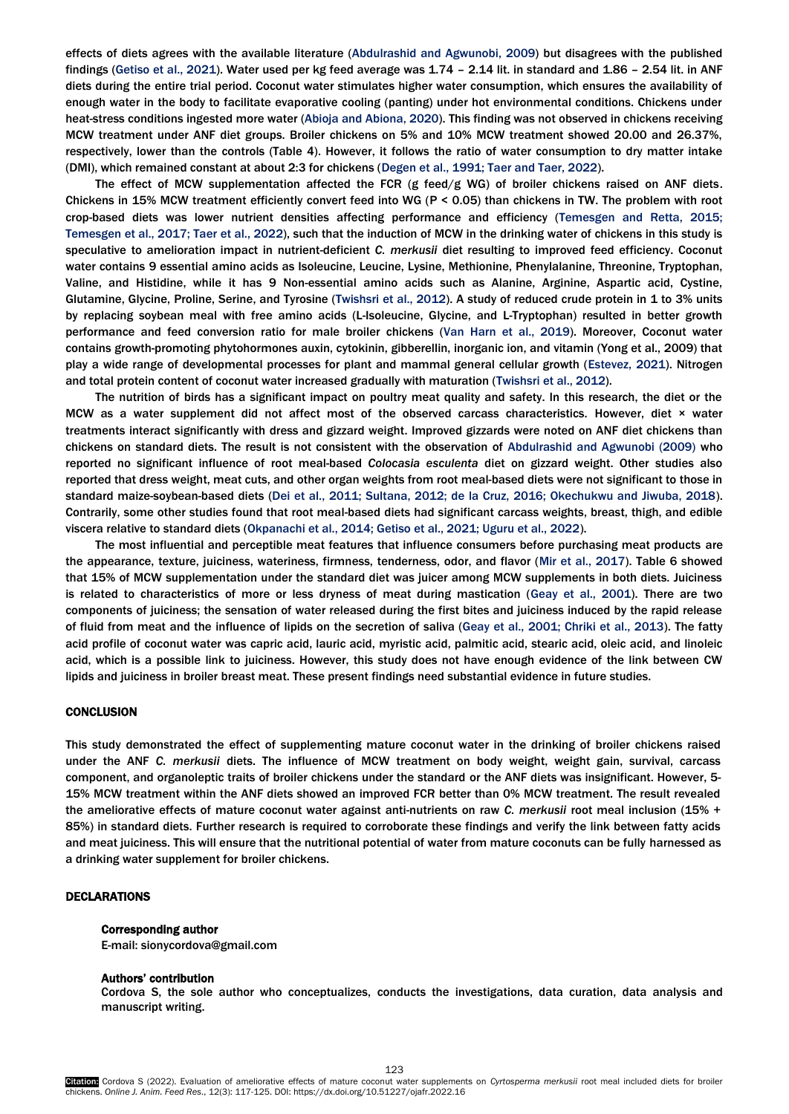effects of diets agrees with the available literature [\(Abdulrashid and Agwunobi,](#page-8-0) 2009) but disagrees with the published findings [\(Getiso et al., 2021\).](#page-8-0) Water used per kg feed average was 1.74 – 2.14 lit. in standard and 1.86 – 2.54 lit. in ANF diets during the entire trial period. Coconut water stimulates higher water consumption, which ensures the availability of enough water in the body to facilitate evaporative cooling (panting) under hot environmental conditions. Chickens under heat-stress conditions ingested more water (A[bioja and Abiona,](#page-8-0) 2020). This finding was not observed in chickens receiving MCW treatment under ANF diet groups. Broiler chickens on 5% and 10% MCW treatment showed 20.00 and 26.37%, respectively, lower than the controls (Table 4). However, it follows the ratio of water consumption to dry matter intake (DMI), which remained constant at about 2:3 for chickens [\(Degen et al., 1991; Taer and Taer, 2022\)](#page-8-0).

The effect of MCW supplementation affected the FCR  $(g \text{ feed/g WG})$  of broiler chickens raised on ANF diets. Chickens in 15% MCW treatment efficiently convert feed into WG (P < 0.05) than chickens in TW. The problem with root crop-based diets was lower nutrient densities affecting performance and efficiency [\(Temesgen and Retta, 2015;](#page-8-0)  [Temesgen et al., 2017; Taer](#page-8-0) et al., 2022), such that the induction of MCW in the drinking water of chickens in this study is speculative to amelioration impact in nutrient-deficient *C. merkusii* diet resulting to improved feed efficiency. Coconut water contains 9 essential amino acids as Isoleucine, Leucine, Lysine, Methionine, Phenylalanine, Threonine, Tryptophan, Valine, and Histidine, while it has 9 Non-essential amino acids such as Alanine, Arginine, Aspartic acid, Cystine, Glutamine, Glycine, Proline, Serine, and Tyrosine ([Twishsri et al., 2012\)](#page-8-0). A study of reduced crude protein in 1 to 3% units by replacing soybean meal with free amino acids (L-Isoleucine, Glycine, and L-Tryptophan) resulted in better growth performance and feed conversion ratio for male broiler chickens [\(Van Harn et al., 2019\).](#page-8-0) Moreover, Coconut water contains growth-promoting phytohormones auxin, cytokinin, gibberellin, inorganic ion, and vitamin (Yong et al., 2009) that play a wide range of developmental processes for plant and mammal general cellular grow[th \(Estevez,](#page-8-0) 2021). Nitrogen and total protein content of coconut water increased gradually with maturation ([Twishsri et al., 2012\)](#page-8-0).

The nutrition of birds has a significant impact on poultry meat quality and safety. In this research, the diet or the MCW as a water supplement did not affect most of the observed carcass characteristics. However, diet × water treatments interact significantly with dress and gizzard weight. Improved gizzards were noted on ANF diet chickens than chickens on standard diets. The result is not consistent with the observation of [Abdulrashid and Agwunobi \(2009\)](#page-8-0) who reported no significant influence of root meal-based *Colocasia esculenta* diet on gizzard weight. Other studies also reported that dress weight, meat cuts, and other organ weights from root meal-based diets were not significant to those in standard maize-soybean-based diets [\(Dei et al., 2011; Sultana, 2012; de la Cruz, 2016; Okechukwu and Jiwuba, 2018\).](#page-8-0)  Contrarily, some other studies found that root meal-based diets had significant carcass weights, breast, thigh, and edible viscera relative to standard diets [\(Okpanachi et al., 2014; Getiso et al., 2021; Uguru et al., 2022\).](#page-8-0)

The most influential and perceptible meat features that influence consumers before purchasing meat products are the appearance, texture, juiciness, wateriness, firmness, tenderness, odor, and flav[or \(Mir et al., 2017\). T](#page-8-0)able 6 showed that 15% of MCW supplementation under the standard diet was juicer among MCW supplements in both diets. Juiciness is related to characteristics of more or less dryness of meat during mastication [\(Geay et al., 2001\)](#page-8-0). There are two components of juiciness; the sensation of water released during the first bites and juiciness induced by the rapid release of fluid from meat and the influence of lipids on the secretion of saliv[a \(Geay et al., 2001; Chriki et al., 2013\).](#page-8-0) The fatty acid profile of coconut water was capric acid, lauric acid, myristic acid, palmitic acid, stearic acid, oleic acid, and linoleic acid, which is a possible link to juiciness. However, this study does not have enough evidence of the link between CW lipids and juiciness in broiler breast meat. These present findings need substantial evidence in future studies.

# **CONCLUSION**

This study demonstrated the effect of supplementing mature coconut water in the drinking of broiler chickens raised under the ANF *C. merkusii* diets. The influence of MCW treatment on body weight, weight gain, survival, carcass component, and organoleptic traits of broiler chickens under the standard or the ANF diets was insignificant. However, 5- 15% MCW treatment within the ANF diets showed an improved FCR better than 0% MCW treatment. The result revealed the ameliorative effects of mature coconut water against anti-nutrients on raw *C. merkusii* root meal inclusion (15% + 85%) in standard diets. Further research is required to corroborate these findings and verify the link between fatty acids and meat juiciness. This will ensure that the nutritional potential of water from mature coconuts can be fully harnessed as a drinking water supplement for broiler chickens.

## DECLARATIONS

#### Corresponding author

E-mail: sionycordova@gmail.com

#### Authors' contribution

Cordova S, the sole author who conceptualizes, conducts the investigations, data curation, data analysis and manuscript writing.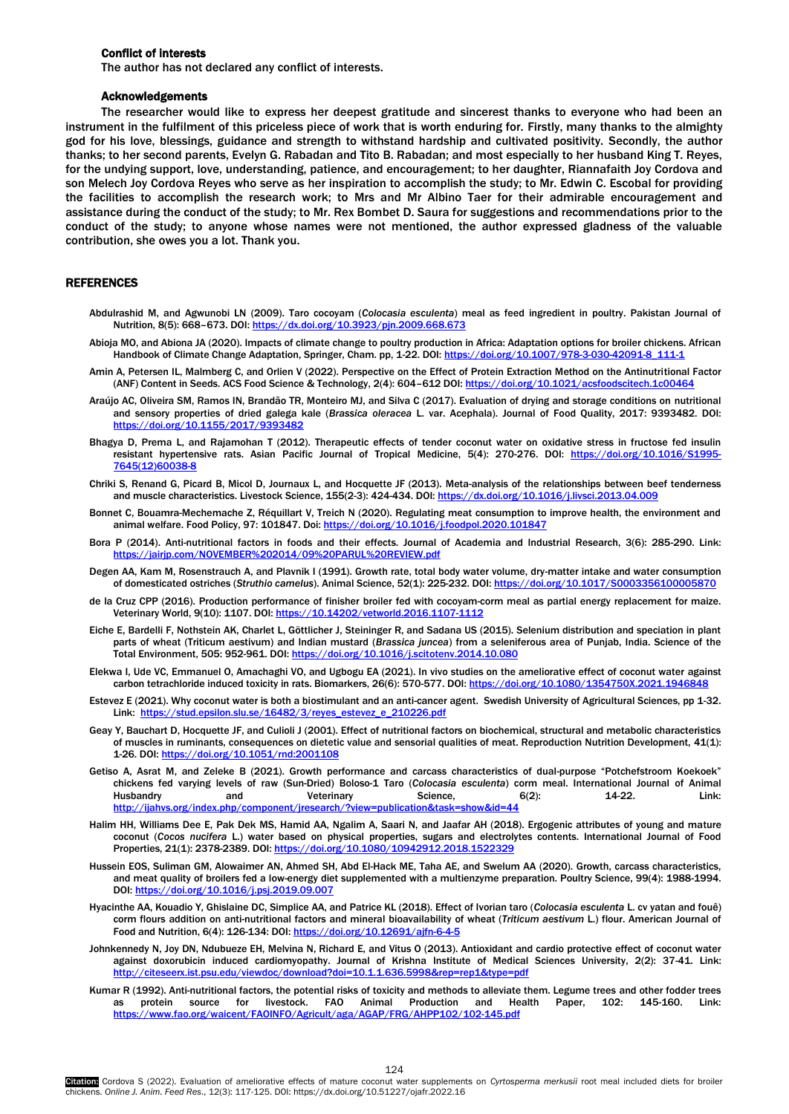# <span id="page-7-0"></span>Conflict of interests

The author has not declared any conflict of interests.

## Acknowledgements

The researcher would like to express her deepest gratitude and sincerest thanks to everyone who had been an instrument in the fulfilment of this priceless piece of work that is worth enduring for. Firstly, many thanks to the almighty god for his love, blessings, guidance and strength to withstand hardship and cultivated positivity. Secondly, the author thanks; to her second parents, Evelyn G. Rabadan and Tito B. Rabadan; and most especially to her husband King T. Reyes, for the undying support, love, understanding, patience, and encouragement; to her daughter, Riannafaith Joy Cordova and son Melech Joy Cordova Reyes who serve as her inspiration to accomplish the study; to Mr. Edwin C. Escobal for providing the facilities to accomplish the research work; to Mrs and Mr Albino Taer for their admirable encouragement and assistance during the conduct of the study; to Mr. Rex Bombet D. Saura for suggestions and recommendations prior to the conduct of the study; to anyone whose names were not mentioned, the author expressed gladness of the valuable contribution, she owes you a lot. Thank you.

#### **REFERENCES**

- Abdulrashid M, and Agwunobi LN (2009). Taro cocoyam (*Colocasia esculenta*) meal as feed ingredient in poultry. Pakistan Journal of Nutrition, 8(5): 668-673. DOI: https://dx.doi.org/10.3923/pin.2009.668.67
- Abioja MO, and Abiona JA (2020). Impacts of climate change to poultry production in Africa: Adaptation options for broiler chickens. African Handbook of Climate Change Adaptation, Springer, Cham. pp, 1-22. DOI: https://doi.org/10.1007/978-3-030-4209:
- Amin A, Petersen IL, Malmberg C, and Orlien V (2022). Perspective on the Effect of Protein Extraction Method on the Antinutritional Factor (ANF) Content in Seeds. ACS Food Science & Technology, 2(4): 604–612 DOI[: https://doi.org/10.1021/acsfoodscitech.1c00464](https://doi.org/10.1021/acsfoodscitech.1c00464)
- Araújo AC, Oliveira SM, Ramos IN, Brandão TR, Monteiro MJ, and Silva C (2017). Evaluation of drying and storage conditions on nutritional and sensory properties of dried galega kale (*Brassica oleracea* L. var. Acephala). Journal of Food Quality, 2017: 9393482. DOI: <https://doi.org/10.1155/2017/9393482>
- Bhagya D, Prema L, and Rajamohan T (2012). Therapeutic effects of tender coconut water on oxidative stress in fructose fed insulin resistant hypertensive rats. Asian Pacific Journal of Tropical Medicine, 5(4): 270-276. DOI: [https://doi.org/10.1016/S1995-](https://doi.org/10.1016/S1995-7645(12)60038-8) [7645\(12\)60038-8](https://doi.org/10.1016/S1995-7645(12)60038-8)
- Chriki S, Renand G, Picard B, Micol D, Journaux L, and Hocquette JF (2013). Meta-analysis of the relationships between beef tenderness and muscle characteristics. Livestock Science, 155(2-3): 424-434. DOI[: https://dx.doi.org/10.1016/j.livsci.2013.04.009](https://dx.doi.org/10.1016/j.livsci.2013.04.009)
- Bonnet C, Bouamra-Mechemache Z, Réquillart V, Treich N (2020). Regulating meat consumption to improve health, the environment and animal welfare. Food Policy, 97: 101847. Doi[: https://doi.org/10.1016/j.foodpol.2020.101847](https://doi.org/10.1016/j.foodpol.2020.101847)
- Bora P (2014). Anti-nutritional factors in foods and their effects. Journal of Academia and Industrial Research, 3(6): 285-290. Link: https://jairip.com/NOVEMBER%202014/09%20PARUL%20REVIEW.pdf
- Degen AA, Kam M, Rosenstrauch A, and Plavnik I (1991). Growth rate, total body water volume, dry-matter intake and water consumption of domesticated ostriches (*Struthio camelus*). Animal Science, 52(1): 225-232. DOI[: https://doi.org/10.1017/S0003356100005870](https://doi.org/10.1017/S0003356100005870)
- de la Cruz CPP (2016). Production performance of finisher broiler fed with cocoyam-corm meal as partial energy replacement for maize. Veterinary World, 9(10): 1107. DOI[: https://10.14202/vetworld.2016.1107-1112](https://10.0.55.122/vetworld.2016.1107-1112)
- Eiche E, Bardelli F, Nothstein AK, Charlet L, Göttlicher J, Steininger R, and Sadana US (2015). Selenium distribution and speciation in plant parts of wheat (Triticum aestivum) and Indian mustard (*Brassica juncea*) from a seleniferous area of Punjab, India. Science of the Total Environment, 505: 952-961. DOI[: https://doi.org/10.1016/j.scitotenv.2014.10.080](https://doi.org/10.1016/j.scitotenv.2014.10.080)
- Elekwa I, Ude VC, Emmanuel O, Amachaghi VO, and Ugbogu EA (2021). In vivo studies on the ameliorative effect of coconut water against carbon tetrachloride induced toxicity in rats. Biomarkers, 26(6): 570-577. DOI[: https://doi.org/10.1080/1354750X.2021.1946848](https://doi.org/10.1080/1354750X.2021.1946848)
- Estevez E (2021). Why coconut water is both a biostimulant and an anti-cancer agent. Swedish University of Agricultural Sciences, pp 1-32. Link: [https://stud.epsilon.slu.se/16482/3/reyes\\_estevez\\_e\\_210226.pdf](https://stud.epsilon.slu.se/16482/3/reyes_estevez_e_210226.pdf)
- Geay Y, Bauchart D, Hocquette JF, and Culioli J (2001). Effect of nutritional factors on biochemical, structural and metabolic characteristics of muscles in ruminants, consequences on dietetic value and sensorial qualities of meat. Reproduction Nutrition Development, 41(1): 1-26. DOI[: https://doi.org/10.1051/rnd:2001108](https://doi.org/10.1051/rnd:2001108)
- Getiso A, Asrat M, and Zeleke B (2021). Growth performance and carcass characteristics of dual-purpose "Potchefstroom Koekoek" chickens fed varying levels of raw (Sun-Dried) Boloso-1 Taro (*Colocasia esculenta*) corm meal. International Journal of Animal Husbandry and Veterinary Science, 6(2): 14-22. Link: <http://ijahvs.org/index.php/component/jresearch/?view=publication&task=show&id=44>
- Halim HH, Williams Dee E, Pak Dek MS, Hamid AA, Ngalim A, Saari N, and Jaafar AH (2018). Ergogenic attributes of young and mature coconut (*Cocos nucifera* L.) water based on physical properties, sugars and electrolytes contents. International Journal of Food Properties, 21(1): 2378-2389. DOI[: https://doi.org/10.1080/10942912.2018.1522329](https://doi.org/10.1080/10942912.2018.1522329)
- Hussein EOS, Suliman GM, Alowaimer AN, Ahmed SH, Abd El-Hack ME, Taha AE, and Swelum AA (2020). Growth, carcass characteristics, and meat quality of broilers fed a low-energy diet supplemented with a multienzyme preparation. Poultry Science, 99(4): 1988-1994. DOI[: https://doi.org/10.1016/j.psj.2019.09.007](https://doi.org/10.1016/j.psj.2019.09.007)
- Hyacinthe AA, Kouadio Y, Ghislaine DC, Simplice AA, and Patrice KL (2018). Effect of Ivorian taro (*Colocasia esculenta* L. cv yatan and fouê) corm flours addition on anti-nutritional factors and mineral bioavailability of wheat (*Triticum aestivum* L.) flour. American Journal of Food and Nutrition, 6(4): 126-134: DOI[: https://doi.org/10.12691/ajfn-6-4-5](https://doi.org/10.12691/ajfn-6-4-5)
- Johnkennedy N, Joy DN, Ndubueze EH, Melvina N, Richard E, and Vitus O (2013). Antioxidant and cardio protective effect of coconut water against doxorubicin induced cardiomyopathy. Journal of Krishna Institute of Medical Sciences University, 2(2): 37-41. Link: <http://citeseerx.ist.psu.edu/viewdoc/download?doi=10.1.1.636.5998&rep=rep1&type=pdf>
- Kumar R (1992). Anti-nutritional factors, the potential risks of toxicity and methods to alleviate them. Legume trees and other fodder trees as protein source for livestock. FAO Animal Production and Health Paper, 102: 145-160. Link: <https://www.fao.org/waicent/FAOINFO/Agricult/aga/AGAP/FRG/AHPP102/102-145.pdf>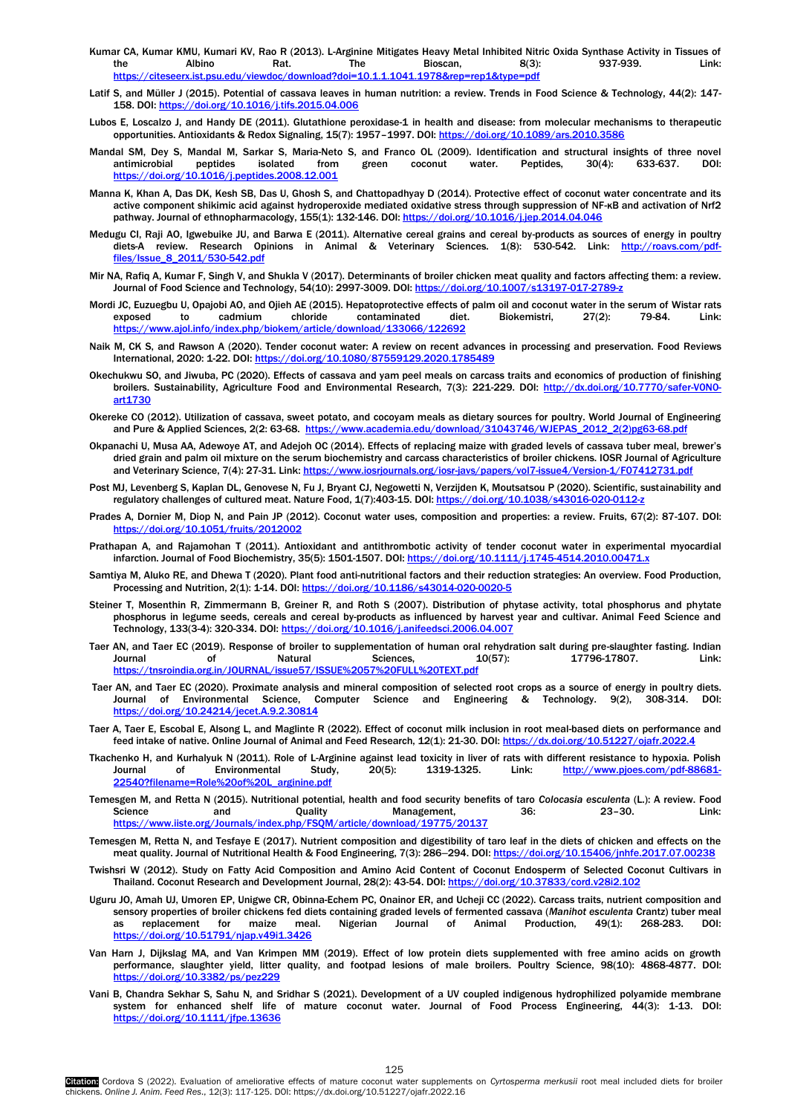- <span id="page-8-0"></span>Kumar CA, Kumar KMU, Kumari KV, Rao R (2013). L-Arginine Mitigates Heavy Metal Inhibited Nitric Oxida Synthase Activity in Tissues of<br>tink: Rinscan Bioscan BC3): Albino the Albino Rat. The Bioscan, 8(3): 937-939. Link: <https://citeseerx.ist.psu.edu/viewdoc/download?doi=10.1.1.1041.1978&rep=rep1&type=pdf>
- Latif S, and Müller J (2015). Potential of cassava leaves in human nutrition: a review. Trends in Food Science & Technology, 44(2): 147- 158. DOI[: https://doi.org/10.1016/j.tifs.2015.04.006](https://doi.org/10.1016/j.tifs.2015.04.006)
- Lubos E, Loscalzo J, and Handy DE (2011). Glutathione peroxidase-1 in health and disease: from molecular mechanisms to therapeutic opportunities. Antioxidants & Redox Signaling, 15(7): 1957–1997. DOI[: https://doi.org/10.1089/ars.2010.3586](https://doi.org/10.1089/ars.2010.3586)
- Mandal SM, Dey S, Mandal M, Sarkar S, Maria-Neto S, and Franco OL (2009). Identification and structural insights of three novel antimicrobial peptides isolated from green coconut water. Peptides, 30(4): 633-637. DOI: <https://doi.org/10.1016/j.peptides.2008.12.001>
- Manna K, Khan A, Das DK, Kesh SB, Das U, Ghosh S, and Chattopadhyay D (2014). Protective effect of coconut water concentrate and its active component shikimic acid against hydroperoxide mediated oxidative stress through suppression of NF-κB and activation of Nrf2 pathway. Journal of ethnopharmacology, 155(1): 132-146. DOI[: https://doi.org/10.1016/j.jep.2014.04.046](https://doi.org/10.1016/j.jep.2014.04.046)
- Medugu CI, Raji AO, Igwebuike JU, and Barwa E (2011). Alternative cereal grains and cereal by-products as sources of energy in poultry diets-A review. Research Opinions in Animal & Veterinary Sciences. 1(8): 530-542. Link: [http://roavs.com/pdf](http://roavs.com/pdf-files/Issue_8_2011/530-542.pdf)files/Issue\_8\_20
- Mir NA, Rafiq A, Kumar F, Singh V, and Shukla V (2017). Determinants of broiler chicken meat quality and factors affecting them: a review. Journal of Food Science and Technology, 54(10): 2997-3009. DOI: https://doi.org/10.1007/s13197-017-2789-z
- Mordi JC, Euzuegbu U, Opajobi AO, and Ojieh AE (2015). Hepatoprotective effects of palm oil and coconut water in the serum of Wistar rats exposed to cadmium chloride contaminated diet. Biokemistri, 27(2): 79-84. Link: <https://www.ajol.info/index.php/biokem/article/download/133066/122692>
- Naik M, CK S, and Rawson A (2020). Tender coconut water: A review on recent advances in processing and preservation. Food Reviews International, 2020: 1-22. DOI[: https://doi.org/10.1080/87559129.2020.1785489](https://doi.org/10.1080/87559129.2020.1785489)
- Okechukwu SO, and Jiwuba, PC (2020). Effects of cassava and yam peel meals on carcass traits and economics of production of finishing broilers. Sustainability, Agriculture Food and Environmental Research, 7(3): 221-229. DOI: [http://dx.doi.org/10.7770/safer-V0N0](http://dx.doi.org/10.7770/safer-V0N0-art1730) [art1730](http://dx.doi.org/10.7770/safer-V0N0-art1730)
- Okereke CO (2012). Utilization of cassava, sweet potato, and cocoyam meals as dietary sources for poultry. World Journal of Engineering and Pure & Applied Sciences, 2(2: 63-68. https://www.academia.edu/download/31043746/WJEPAS\_2012\_2(2)
- Okpanachi U, Musa AA, Adewoye AT, and Adejoh OC (2014). Effects of replacing maize with graded levels of cassava tuber meal, brewer's dried grain and palm oil mixture on the serum biochemistry and carcass characteristics of broiler chickens. IOSR Journal of Agriculture and Veterinary Science, 7(4): 27-31. Link[: https://www.iosrjournals.org/iosr-javs/papers/vol7-issue4/Version-1/F07412731.pdf](https://www.iosrjournals.org/iosr-javs/papers/vol7-issue4/Version-1/F07412731.pdf)
- Post MJ, Levenberg S, Kaplan DL, Genovese N, Fu J, Bryant CJ, Negowetti N, Verzijden K, Moutsatsou P (2020). Scientific, sustainability and regulatory challenges of cultured meat. Nature Food, 1(7):403-15. DOI[: https://doi.org/10.1038/s43016-020-0112-z](https://doi.org/10.1038/s43016-020-0112-z)
- Prades A, Dornier M, Diop N, and Pain JP (2012). Coconut water uses, composition and properties: a review. Fruits, 67(2): 87-107. DOI: <https://doi.org/10.1051/fruits/2012002>
- Prathapan A, and Rajamohan T (2011). Antioxidant and antithrombotic activity of tender coconut water in experimental myocardial infarction. Journal of Food Biochemistry, 35(5): 1501-1507. DOI[: https://doi.org/10.1111/j.1745-4514.2010.00471.x](https://doi.org/10.1111/j.1745-4514.2010.00471.x)
- Samtiya M, Aluko RE, and Dhewa T (2020). Plant food anti-nutritional factors and their reduction strategies: An overview. Food Production, Processing and Nutrition, 2(1): 1-14. DOI[: https://doi.org/10.1186/s43014-020-0020-5](https://doi.org/10.1186/s43014-020-0020-5)
- Steiner T, Mosenthin R, Zimmermann B, Greiner R, and Roth S (2007). Distribution of phytase activity, total phosphorus and phytate phosphorus in legume seeds, cereals and cereal by-products as influenced by harvest year and cultivar. Animal Feed Science and Technology, 133(3-4): 320-334. DOI[: https://doi.org/10.1016/j.anifeedsci.2006.04.007](https://doi.org/10.1016/j.anifeedsci.2006.04.007)
- Taer AN, and Taer EC (2019). Response of broiler to supplementation of human oral rehydration salt during pre-slaughter fasting. Indian Journal of Natural Sciences, 10(57): 17796-17807. Link: <https://tnsroindia.org.in/JOURNAL/issue57/ISSUE%2057%20FULL%20TEXT.pdf>
- Taer AN, and Taer EC (2020). Proximate analysis and mineral composition of selected root crops as a source of energy in poultry diets. Journal of Environmental Science, Computer Science and Engineering & Technology. 9(2), 308-314. DOI: <https://doi.org/10.24214/jecet.A.9.2.30814>
- Taer A, Taer E, Escobal E, Alsong L, and Maglinte R (2022). Effect of coconut milk inclusion in root meal-based diets on performance and feed intake of native. Online Journal of Animal and Feed Research, 12(1): 21-30. DOI: https://dx.doi.org/10.51227/ojafr.2022.
- Tkachenko H, and Kurhalyuk N (2011). Role of L-Arginine against lead toxicity in liver of rats with different resistance to hypoxia. Polish Journal of Environmental Study, 20(5): 1319-1325. Link: [http://www.pjoes.com/pdf-88681-](http://www.pjoes.com/pdf-88681-22540?filename=Role%20of%20L_arginine.pdf) [22540?filename=Role%20of%20L\\_arginine.pdf](http://www.pjoes.com/pdf-88681-22540?filename=Role%20of%20L_arginine.pdf)
- Temesgen M, and Retta N (2015). Nutritional potential, health and food security benefits of taro *Colocasia esculenta* (L.): A review. Food Science and Quality Management, 36: 23-30. Link: org/Journals/index.php/FSOM/article/download/19775/
- Temesgen M, Retta N, and Tesfaye E (2017). Nutrient composition and digestibility of taro leaf in the diets of chicken and effects on the meat quality. Journal of Nutritional Health & Food Engineering, 7(3): 286-294. DOI[: https://doi.org/10.15406/jnhfe.2017.07.00238](https://doi.org/10.15406/jnhfe.2017.07.00238)
- Twishsri W (2012). Study on Fatty Acid Composition and Amino Acid Content of Coconut Endosperm of Selected Coconut Cultivars in Thailand. Coconut Research and Development Journal, 28(2): 43-54. DOI: https://doi.org/1
- Uguru JO, Amah UJ, Umoren EP, Unigwe CR, Obinna-Echem PC, Onainor ER, and Ucheji CC (2022). Carcass traits, nutrient composition and sensory properties of broiler chickens fed diets containing graded levels of fermented cassava (*Manihot esculenta* Crantz) tuber meal as replacement for maize meal. Nigerian Journal of Animal Production, 49(1): 268-283. DOI: <https://doi.org/10.51791/njap.v49i1.3426>
- Van Harn J, Dijkslag MA, and Van Krimpen MM (2019). Effect of low protein diets supplemented with free amino acids on growth performance, slaughter yield, litter quality, and footpad lesions of male broilers. Poultry Science, 98(10): 4868-4877. DOI: <https://doi.org/10.3382/ps/pez229>
- Vani B, Chandra Sekhar S, Sahu N, and Sridhar S (2021). Development of a UV coupled indigenous hydrophilized polyamide membrane system for enhanced shelf life of mature coconut water. Journal of Food Process Engineering, 44(3): 1-13. DOI: <https://doi.org/10.1111/jfpe.13636>